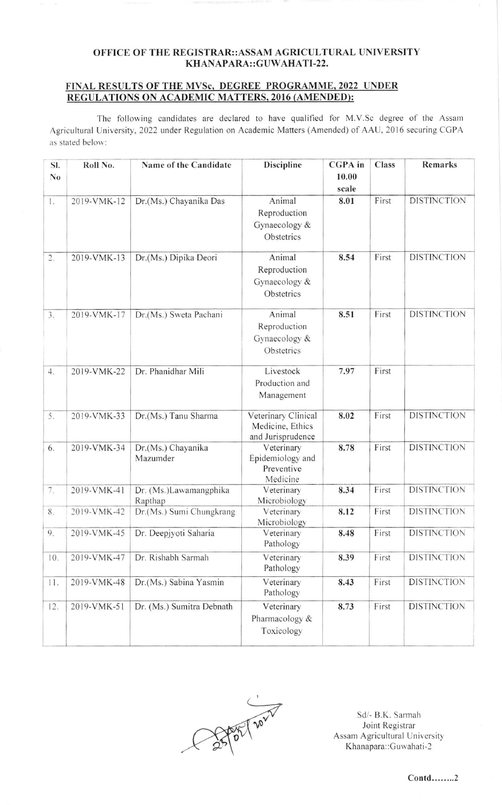## OFFICE OF THE REGISTRAR::ASSAM AGRICULTURAL UNIVERSITY KHANAPARA::GUWAHATI-22.

## FINAL RESULTS OF THE MVSc, DEGREE PROGRAMME, 2022 UNDER REGULATIONS ON ACADEMIC MATTERS, 2016 (AMENDED):

The following candidates are declared to have qualified for M.V.Sc degree of the Assam Agricultural University, 2022 under Regulation on Academic Matters (Amended) of AAU, 2016 securing CGPA as stated below:

| SI.            | Roll No.    | Name of the Candidate             | <b>Discipline</b>                     | <b>CGPA</b> in | <b>Class</b> | Remarks            |
|----------------|-------------|-----------------------------------|---------------------------------------|----------------|--------------|--------------------|
| N <sub>0</sub> |             |                                   |                                       | 10.00          |              |                    |
|                |             |                                   |                                       | scale          |              |                    |
| 1.             | 2019-VMK-12 | Dr.(Ms.) Chayanika Das            | Animal                                | 8.01           | First        | <b>DISTINCTION</b> |
|                |             |                                   | Reproduction                          |                |              |                    |
|                |             |                                   | Gynaecology &                         |                |              |                    |
|                |             |                                   | Obstetrics                            |                |              |                    |
| 2.             | 2019-VMK-13 | Dr.(Ms.) Dipika Deori             | Animal                                | 8.54           | First        | <b>DISTINCTION</b> |
|                |             |                                   | Reproduction                          |                |              |                    |
|                |             |                                   | Gynaecology &                         |                |              |                    |
|                |             |                                   | Obstetrics                            |                |              |                    |
| 3.             | 2019-VMK-17 | Dr.(Ms.) Sweta Pachani            | Animal                                | 8.51           | First        | <b>DISTINCTION</b> |
|                |             |                                   | Reproduction                          |                |              |                    |
|                |             |                                   | Gynaecology &                         |                |              |                    |
|                |             |                                   | Obstetrics                            |                |              |                    |
| 4.             | 2019-VMK-22 | Dr. Phanidhar Mili                | Livestock                             | 7.97           | First        |                    |
|                |             |                                   | Production and                        |                |              |                    |
|                |             |                                   | Management                            |                |              |                    |
|                |             |                                   |                                       |                |              |                    |
| 5.             | 2019-VMK-33 | Dr.(Ms.) Tanu Sharma              | Veterinary Clinical                   | 8.02           | First        | <b>DISTINCTION</b> |
|                |             |                                   | Medicine, Ethics<br>and Jurisprudence |                |              |                    |
| 6.             | 2019-VMK-34 | Dr.(Ms.) Chayanika                | Veterinary                            | 8.78           | First        | <b>DISTINCTION</b> |
|                |             | Mazumder                          | Epidemiology and                      |                |              |                    |
|                |             |                                   | Preventive                            |                |              |                    |
|                |             |                                   | Medicine                              |                |              |                    |
| 7.             | 2019-VMK-41 | Dr. (Ms.)Lawamangphika<br>Rapthap | Veterinary<br>Microbiology            | 8.34           | First        | <b>DISTINCTION</b> |
| 8.             | 2019-VMK-42 | Dr.(Ms.) Sumi Chungkrang          | Veterinary                            | 8.12           | First        | <b>DISTINCTION</b> |
|                |             |                                   | Microbiology                          |                |              |                    |
| 9.             | 2019-VMK-45 | Dr. Deepjyoti Saharia             | Veterinary                            | 8.48           | First        | <b>DISTINCTION</b> |
|                |             |                                   | Pathology                             |                |              |                    |
| 10.            | 2019-VMK-47 | Dr. Rishabh Sarmah                | Veterinary<br>Pathology               | 8.39           | First        | <b>DISTINCTION</b> |
|                |             |                                   |                                       |                |              |                    |
| 11.            | 2019-VMK-48 | Dr.(Ms.) Sabina Yasmin            | Veterinary<br>Pathology               | 8.43           | First        | <b>DISTINCTION</b> |
|                | 2019-VMK-51 | Dr. (Ms.) Sumitra Debnath         | Veterinary                            | 8.73           | First        | <b>DISTINCTION</b> |
| 12.            |             |                                   | Pharmacology &                        |                |              |                    |
|                |             |                                   | Toxicology                            |                |              |                    |
|                |             |                                   |                                       |                |              |                    |



Sd/- B.K. Sarmah Joint Registrar Assam Agricultural University Khanapara::Guwahati-2

 $Contd$ ........2